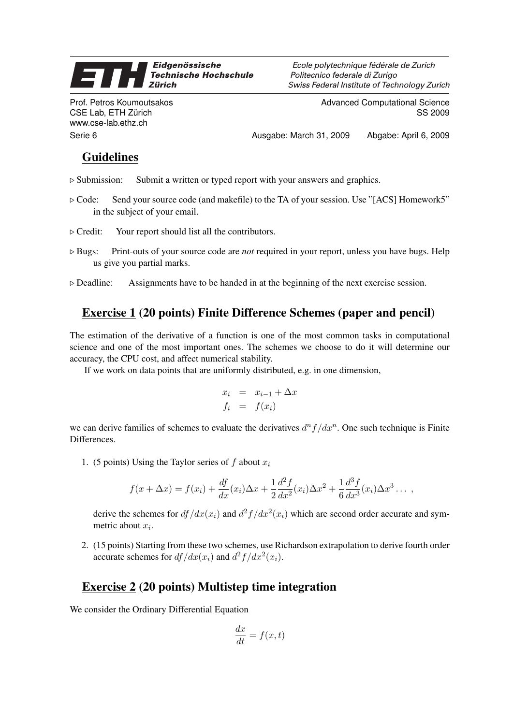## Eidgenössische 9 **Technische Hochschule Zürich**

Prof. Petros Koumoutsakos CSE Lab, ETH Zürich www.cse-lab.ethz.ch

Ecole polytechnique fédérale de Zurich Politecnico federale di Zurigo Swiss Federal Institute of Technology Zurich

> Advanced Computational Science SS 2009

Serie 6 **Ausgabe: March 31, 2009** Abgabe: April 6, 2009 Abgabe: April 6, 2009

## Guidelines

- $\triangleright$  Submission: Submit a written or typed report with your answers and graphics.
- $\triangleright$  Code: Send your source code (and makefile) to the TA of your session. Use "[ACS] Homework5" in the subject of your email.
- $\triangleright$  Credit: Your report should list all the contributors.
- $\triangleright$  Bugs: Print-outs of your source code are *not* required in your report, unless you have bugs. Help us give you partial marks.
- $\triangleright$  Deadline: Assignments have to be handed in at the beginning of the next exercise session.

## Exercise 1 (20 points) Finite Difference Schemes (paper and pencil)

The estimation of the derivative of a function is one of the most common tasks in computational science and one of the most important ones. The schemes we choose to do it will determine our accuracy, the CPU cost, and affect numerical stability.

If we work on data points that are uniformly distributed, e.g. in one dimension,

$$
x_i = x_{i-1} + \Delta x
$$
  

$$
f_i = f(x_i)
$$

we can derive families of schemes to evaluate the derivatives  $d^n f / dx^n$ . One such technique is Finite Differences.

1. (5 points) Using the Taylor series of f about  $x_i$ 

$$
f(x + \Delta x) = f(x_i) + \frac{df}{dx}(x_i)\Delta x + \frac{1}{2}\frac{d^2f}{dx^2}(x_i)\Delta x^2 + \frac{1}{6}\frac{d^3f}{dx^3}(x_i)\Delta x^3 \dots,
$$

derive the schemes for  $df/dx(x_i)$  and  $d^2f/dx^2(x_i)$  which are second order accurate and symmetric about  $x_i$ .

2. (15 points) Starting from these two schemes, use Richardson extrapolation to derive fourth order accurate schemes for  $df/dx(x_i)$  and  $d^2f/dx^2(x_i)$ .

## Exercise 2 (20 points) Multistep time integration

We consider the Ordinary Differential Equation

$$
\frac{dx}{dt} = f(x, t)
$$